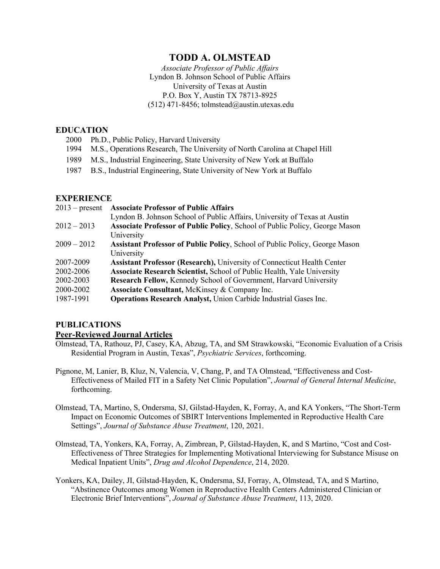# **TODD A. OLMSTEAD**

*Associate Professor of Public Affairs* Lyndon B. Johnson School of Public Affairs University of Texas at Austin P.O. Box Y, Austin TX 78713-8925  $(512)$  471-8456; tolmstead@austin.utexas.edu

## **EDUCATION**

| 2000 Ph.D., Public Policy, Harvard University                                   |
|---------------------------------------------------------------------------------|
| 1994 M.S., Operations Research, The University of North Carolina at Chapel Hill |
|                                                                                 |

- 1989 M.S., Industrial Engineering, State University of New York at Buffalo
- 1987 B.S., Industrial Engineering, State University of New York at Buffalo

## **EXPERIENCE**

| <b>Associate Professor of Public Affairs</b>                                   |
|--------------------------------------------------------------------------------|
| Lyndon B. Johnson School of Public Affairs, University of Texas at Austin      |
| Associate Professor of Public Policy, School of Public Policy, George Mason    |
| University                                                                     |
| Assistant Professor of Public Policy, School of Public Policy, George Mason    |
| University                                                                     |
| <b>Assistant Professor (Research), University of Connecticut Health Center</b> |
| Associate Research Scientist, School of Public Health, Yale University         |
| Research Fellow, Kennedy School of Government, Harvard University              |
| Associate Consultant, McKinsey & Company Inc.                                  |
| <b>Operations Research Analyst, Union Carbide Industrial Gases Inc.</b>        |
|                                                                                |

## **PUBLICATIONS**

## **Peer-Reviewed Journal Articles**

- Olmstead, TA, Rathouz, PJ, Casey, KA, Abzug, TA, and SM Strawkowski, "Economic Evaluation of a Crisis Residential Program in Austin, Texas", *Psychiatric Services*, forthcoming.
- Pignone, M, Lanier, B, Kluz, N, Valencia, V, Chang, P, and TA Olmstead, "Effectiveness and Cost-Effectiveness of Mailed FIT in a Safety Net Clinic Population", *Journal of General Internal Medicine*, forthcoming.
- Olmstead, TA, Martino, S, Ondersma, SJ, Gilstad-Hayden, K, Forray, A, and KA Yonkers, "The Short-Term Impact on Economic Outcomes of SBIRT Interventions Implemented in Reproductive Health Care Settings", *Journal of Substance Abuse Treatment*, 120, 2021.
- Olmstead, TA, Yonkers, KA, Forray, A, Zimbrean, P, Gilstad-Hayden, K, and S Martino, "Cost and Cost-Effectiveness of Three Strategies for Implementing Motivational Interviewing for Substance Misuse on Medical Inpatient Units", *Drug and Alcohol Dependence*, 214, 2020.
- Yonkers, KA, Dailey, JI, Gilstad-Hayden, K, Ondersma, SJ, Forray, A, Olmstead, TA, and S Martino, "Abstinence Outcomes among Women in Reproductive Health Centers Administered Clinician or Electronic Brief Interventions", *Journal of Substance Abuse Treatment*, 113, 2020.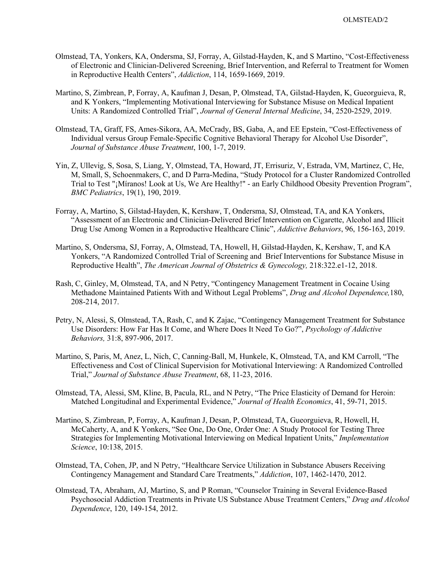- Olmstead, TA, Yonkers, KA, Ondersma, SJ, Forray, A, Gilstad-Hayden, K, and S Martino, "Cost-Effectiveness of Electronic and Clinician-Delivered Screening, Brief Intervention, and Referral to Treatment for Women in Reproductive Health Centers", *Addiction*, 114, 1659-1669, 2019.
- Martino, S, Zimbrean, P, Forray, A, Kaufman J, Desan, P, Olmstead, TA, Gilstad-Hayden, K, Gueorguieva, R, and K Yonkers, "Implementing Motivational Interviewing for Substance Misuse on Medical Inpatient Units: A Randomized Controlled Trial", *Journal of General Internal Medicine*, 34, 2520-2529, 2019.
- Olmstead, TA, Graff, FS, Ames-Sikora, AA, McCrady, BS, Gaba, A, and EE Epstein, "Cost-Effectiveness of Individual versus Group Female-Specific Cognitive Behavioral Therapy for Alcohol Use Disorder", *Journal of Substance Abuse Treatment*, 100, 1-7, 2019.
- Yin, Z, Ullevig, S, Sosa, S, Liang, Y, Olmstead, TA, Howard, JT, Errisuriz, V, Estrada, VM, Martinez, C, He, M, Small, S, Schoenmakers, C, and D Parra-Medina, "Study Protocol for a Cluster Randomized Controlled Trial to Test "¡Míranos! Look at Us, We Are Healthy!" - an Early Childhood Obesity Prevention Program", *BMC Pediatrics*, 19(1), 190, 2019.
- Forray, A, Martino, S, Gilstad-Hayden, K, Kershaw, T, Ondersma, SJ, Olmstead, TA, and KA Yonkers, "Assessment of an Electronic and Clinician-Delivered Brief Intervention on Cigarette, Alcohol and Illicit Drug Use Among Women in a Reproductive Healthcare Clinic", *Addictive Behaviors*, 96, 156-163, 2019.
- Martino, S, Ondersma, SJ, Forray, A, Olmstead, TA, Howell, H, Gilstad-Hayden, K, Kershaw, T, and KA Yonkers, "A Randomized Controlled Trial of Screening and Brief Interventions for Substance Misuse in Reproductive Health", *The American Journal of Obstetrics & Gynecology,* 218:322.e1-12, 2018.
- Rash, C, Ginley, M, Olmstead, TA, and N Petry, "Contingency Management Treatment in Cocaine Using Methadone Maintained Patients With and Without Legal Problems", *Drug and Alcohol Dependence,*180, 208-214, 2017.
- Petry, N, Alessi, S, Olmstead, TA, Rash, C, and K Zajac, "Contingency Management Treatment for Substance Use Disorders: How Far Has It Come, and Where Does It Need To Go?", *Psychology of Addictive Behaviors,* 31:8, 897-906, 2017.
- Martino, S, Paris, M, Anez, L, Nich, C, Canning-Ball, M, Hunkele, K, Olmstead, TA, and KM Carroll, "The Effectiveness and Cost of Clinical Supervision for Motivational Interviewing: A Randomized Controlled Trial," *Journal of Substance Abuse Treatment*, 68, 11-23, 2016.
- Olmstead, TA, Alessi, SM, Kline, B, Pacula, RL, and N Petry, "The Price Elasticity of Demand for Heroin: Matched Longitudinal and Experimental Evidence," *Journal of Health Economics*, 41, 59-71, 2015.
- Martino, S, Zimbrean, P, Forray, A, Kaufman J, Desan, P, Olmstead, TA, Gueorguieva, R, Howell, H, McCaherty, A, and K Yonkers, "See One, Do One, Order One: A Study Protocol for Testing Three Strategies for Implementing Motivational Interviewing on Medical Inpatient Units," *Implementation Science*, 10:138, 2015.
- Olmstead, TA, Cohen, JP, and N Petry, "Healthcare Service Utilization in Substance Abusers Receiving Contingency Management and Standard Care Treatments," *Addiction*, 107, 1462-1470, 2012.
- Olmstead, TA, Abraham, AJ, Martino, S, and P Roman, "Counselor Training in Several Evidence-Based Psychosocial Addiction Treatments in Private US Substance Abuse Treatment Centers," *Drug and Alcohol Dependence*, 120, 149-154, 2012.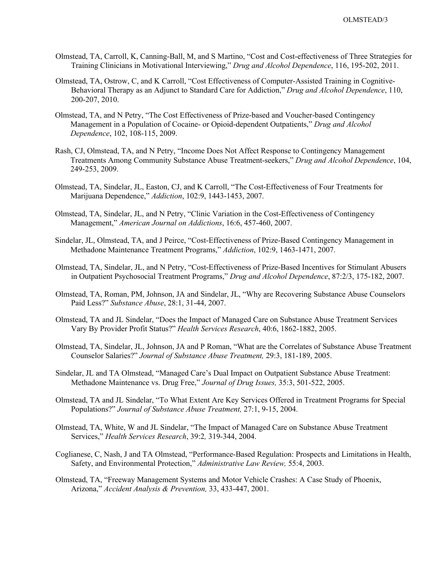- Olmstead, TA, Carroll, K, Canning-Ball, M, and S Martino, "Cost and Cost-effectiveness of Three Strategies for Training Clinicians in Motivational Interviewing," *Drug and Alcohol Dependence*, 116, 195-202, 2011.
- Olmstead, TA, Ostrow, C, and K Carroll, "Cost Effectiveness of Computer-Assisted Training in Cognitive-Behavioral Therapy as an Adjunct to Standard Care for Addiction," *Drug and Alcohol Dependence*, 110, 200-207, 2010.
- Olmstead, TA, and N Petry, "The Cost Effectiveness of Prize-based and Voucher-based Contingency Management in a Population of Cocaine- or Opioid-dependent Outpatients," *Drug and Alcohol Dependence*, 102, 108-115, 2009.
- Rash, CJ, Olmstead, TA, and N Petry, "Income Does Not Affect Response to Contingency Management Treatments Among Community Substance Abuse Treatment-seekers," *Drug and Alcohol Dependence*, 104, 249-253, 2009.
- Olmstead, TA, Sindelar, JL, Easton, CJ, and K Carroll, "The Cost-Effectiveness of Four Treatments for Marijuana Dependence," *Addiction*, 102:9, 1443-1453, 2007.
- Olmstead, TA, Sindelar, JL, and N Petry, "Clinic Variation in the Cost-Effectiveness of Contingency Management," *American Journal on Addictions*, 16:6, 457-460, 2007.
- Sindelar, JL, Olmstead, TA, and J Peirce, "Cost-Effectiveness of Prize-Based Contingency Management in Methadone Maintenance Treatment Programs," *Addiction*, 102:9, 1463-1471, 2007.
- Olmstead, TA, Sindelar, JL, and N Petry, "Cost-Effectiveness of Prize-Based Incentives for Stimulant Abusers in Outpatient Psychosocial Treatment Programs," *Drug and Alcohol Dependence*, 87:2/3, 175-182, 2007.
- Olmstead, TA, Roman, PM, Johnson, JA and Sindelar, JL, "Why are Recovering Substance Abuse Counselors Paid Less?" *Substance Abuse*, 28:1, 31-44, 2007.
- Olmstead, TA and JL Sindelar, "Does the Impact of Managed Care on Substance Abuse Treatment Services Vary By Provider Profit Status?" *Health Services Research*, 40:6, 1862-1882, 2005.
- Olmstead, TA, Sindelar, JL, Johnson, JA and P Roman, "What are the Correlates of Substance Abuse Treatment Counselor Salaries?" *Journal of Substance Abuse Treatment,* 29:3, 181-189, 2005.
- Sindelar, JL and TA Olmstead, "Managed Care's Dual Impact on Outpatient Substance Abuse Treatment: Methadone Maintenance vs. Drug Free," *Journal of Drug Issues,* 35:3, 501-522, 2005.
- Olmstead, TA and JL Sindelar, "To What Extent Are Key Services Offered in Treatment Programs for Special Populations?" *Journal of Substance Abuse Treatment,* 27:1, 9-15, 2004.
- Olmstead, TA, White, W and JL Sindelar, "The Impact of Managed Care on Substance Abuse Treatment Services," *Health Services Research*, 39:2*,* 319-344, 2004.
- Coglianese, C, Nash, J and TA Olmstead, "Performance-Based Regulation: Prospects and Limitations in Health, Safety, and Environmental Protection," *Administrative Law Review,* 55:4, 2003.
- Olmstead, TA, "Freeway Management Systems and Motor Vehicle Crashes: A Case Study of Phoenix, Arizona," *Accident Analysis & Prevention,* 33, 433-447, 2001.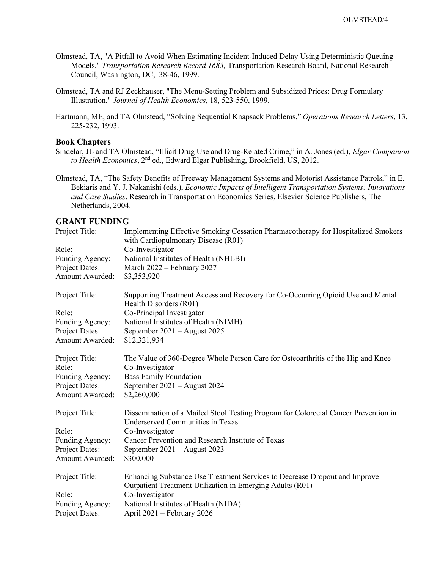- Olmstead, TA, "A Pitfall to Avoid When Estimating Incident-Induced Delay Using Deterministic Queuing Models," *Transportation Research Record 1683,* Transportation Research Board, National Research Council, Washington, DC, 38-46, 1999.
- Olmstead, TA and RJ Zeckhauser, "The Menu-Setting Problem and Subsidized Prices: Drug Formulary Illustration," *Journal of Health Economics,* 18, 523-550, 1999.
- Hartmann, ME, and TA Olmstead, "Solving Sequential Knapsack Problems," *Operations Research Letters*, 13, 225-232, 1993.

## **Book Chapters**

- Sindelar, JL and TA Olmstead, "Illicit Drug Use and Drug-Related Crime," in A. Jones (ed.), *Elgar Companion to Health Economics*, 2nd ed., Edward Elgar Publishing, Brookfield, US, 2012.
- Olmstead, TA, "The Safety Benefits of Freeway Management Systems and Motorist Assistance Patrols," in E. Bekiaris and Y. J. Nakanishi (eds.), *Economic Impacts of Intelligent Transportation Systems: Innovations and Case Studies*, Research in Transportation Economics Series, Elsevier Science Publishers, The Netherlands, 2004.

## **GRANT FUNDING**

| Project Title:  | Implementing Effective Smoking Cessation Pharmacotherapy for Hospitalized Smokers<br>with Cardiopulmonary Disease (R01) |
|-----------------|-------------------------------------------------------------------------------------------------------------------------|
| Role:           | Co-Investigator                                                                                                         |
| Funding Agency: | National Institutes of Health (NHLBI)                                                                                   |
| Project Dates:  | March 2022 - February 2027                                                                                              |
| Amount Awarded: | \$3,353,920                                                                                                             |
| Project Title:  | Supporting Treatment Access and Recovery for Co-Occurring Opioid Use and Mental<br>Health Disorders (R01)               |
| Role:           | Co-Principal Investigator                                                                                               |
| Funding Agency: | National Institutes of Health (NIMH)                                                                                    |
| Project Dates:  | September 2021 - August 2025                                                                                            |
| Amount Awarded: | \$12,321,934                                                                                                            |
| Project Title:  | The Value of 360-Degree Whole Person Care for Osteoarthritis of the Hip and Knee                                        |
| Role:           | Co-Investigator                                                                                                         |
| Funding Agency: | <b>Bass Family Foundation</b>                                                                                           |
| Project Dates:  | September 2021 - August 2024                                                                                            |
| Amount Awarded: | \$2,260,000                                                                                                             |
| Project Title:  | Dissemination of a Mailed Stool Testing Program for Colorectal Cancer Prevention in<br>Underserved Communities in Texas |
| Role:           | Co-Investigator                                                                                                         |
| Funding Agency: | Cancer Prevention and Research Institute of Texas                                                                       |
| Project Dates:  | September 2021 - August 2023                                                                                            |
| Amount Awarded: | \$300,000                                                                                                               |
| Project Title:  | Enhancing Substance Use Treatment Services to Decrease Dropout and Improve                                              |
|                 | Outpatient Treatment Utilization in Emerging Adults (R01)                                                               |
| Role:           | Co-Investigator                                                                                                         |
| Funding Agency: | National Institutes of Health (NIDA)                                                                                    |
| Project Dates:  | April 2021 – February 2026                                                                                              |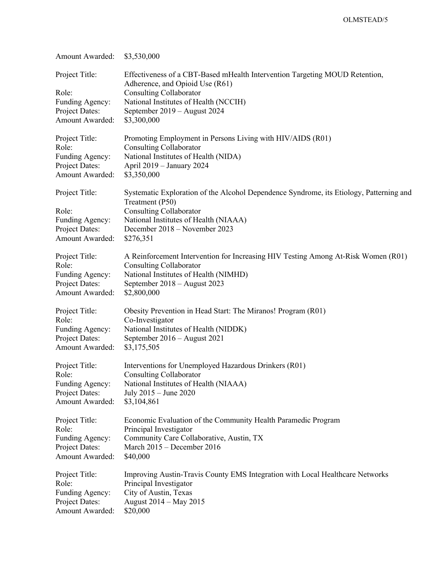| Amount Awarded:                                                                        | \$3,530,000                                                                                                                                                                                                                              |
|----------------------------------------------------------------------------------------|------------------------------------------------------------------------------------------------------------------------------------------------------------------------------------------------------------------------------------------|
| Project Title:<br>Role:<br>Funding Agency:<br>Project Dates:<br>Amount Awarded:        | Effectiveness of a CBT-Based mHealth Intervention Targeting MOUD Retention,<br>Adherence, and Opioid Use (R61)<br><b>Consulting Collaborator</b><br>National Institutes of Health (NCCIH)<br>September 2019 - August 2024<br>\$3,300,000 |
| Project Title:                                                                         | Promoting Employment in Persons Living with HIV/AIDS (R01)                                                                                                                                                                               |
| Role:                                                                                  | <b>Consulting Collaborator</b>                                                                                                                                                                                                           |
| Funding Agency:                                                                        | National Institutes of Health (NIDA)                                                                                                                                                                                                     |
| Project Dates:                                                                         | April 2019 - January 2024                                                                                                                                                                                                                |
| Amount Awarded:                                                                        | \$3,350,000                                                                                                                                                                                                                              |
| Project Title:<br>Role:<br>Funding Agency:<br>Project Dates:<br><b>Amount Awarded:</b> | Systematic Exploration of the Alcohol Dependence Syndrome, its Etiology, Patterning and<br>Treatment (P50)<br><b>Consulting Collaborator</b><br>National Institutes of Health (NIAAA)<br>December 2018 – November 2023<br>\$276,351      |
| Project Title:                                                                         | A Reinforcement Intervention for Increasing HIV Testing Among At-Risk Women (R01)                                                                                                                                                        |
| Role:                                                                                  | <b>Consulting Collaborator</b>                                                                                                                                                                                                           |
| Funding Agency:                                                                        | National Institutes of Health (NIMHD)                                                                                                                                                                                                    |
| Project Dates:                                                                         | September 2018 - August 2023                                                                                                                                                                                                             |
| Amount Awarded:                                                                        | \$2,800,000                                                                                                                                                                                                                              |
| Project Title:                                                                         | Obesity Prevention in Head Start: The Miranos! Program (R01)                                                                                                                                                                             |
| Role:                                                                                  | Co-Investigator                                                                                                                                                                                                                          |
| Funding Agency:                                                                        | National Institutes of Health (NIDDK)                                                                                                                                                                                                    |
| Project Dates:                                                                         | September 2016 - August 2021                                                                                                                                                                                                             |
| Amount Awarded:                                                                        | \$3,175,505                                                                                                                                                                                                                              |
| Project Title:                                                                         | Interventions for Unemployed Hazardous Drinkers (R01)                                                                                                                                                                                    |
| Role:                                                                                  | <b>Consulting Collaborator</b>                                                                                                                                                                                                           |
| Funding Agency:                                                                        | National Institutes of Health (NIAAA)                                                                                                                                                                                                    |
| Project Dates:                                                                         | July 2015 - June 2020                                                                                                                                                                                                                    |
| Amount Awarded:                                                                        | \$3,104,861                                                                                                                                                                                                                              |
| Project Title:                                                                         | Economic Evaluation of the Community Health Paramedic Program                                                                                                                                                                            |
| Role:                                                                                  | Principal Investigator                                                                                                                                                                                                                   |
| Funding Agency:                                                                        | Community Care Collaborative, Austin, TX                                                                                                                                                                                                 |
| Project Dates:                                                                         | March 2015 - December 2016                                                                                                                                                                                                               |
| Amount Awarded:                                                                        | \$40,000                                                                                                                                                                                                                                 |
| Project Title:                                                                         | Improving Austin-Travis County EMS Integration with Local Healthcare Networks                                                                                                                                                            |
| Role:                                                                                  | Principal Investigator                                                                                                                                                                                                                   |
| Funding Agency:                                                                        | City of Austin, Texas                                                                                                                                                                                                                    |
| Project Dates:                                                                         | August 2014 - May 2015                                                                                                                                                                                                                   |
| Amount Awarded:                                                                        | \$20,000                                                                                                                                                                                                                                 |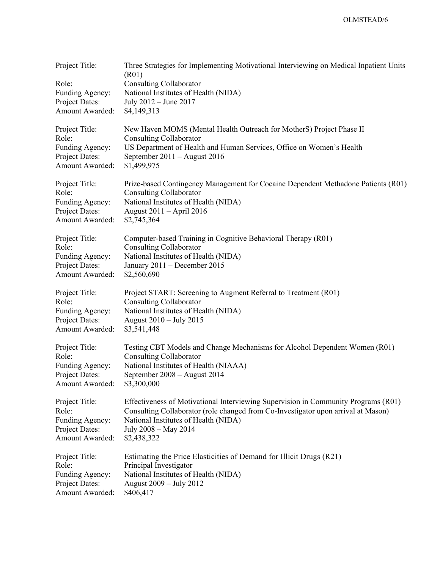| Project Title:<br>Role:<br>Funding Agency:<br>Project Dates:<br>Amount Awarded: | Three Strategies for Implementing Motivational Interviewing on Medical Inpatient Units<br>(R01)<br><b>Consulting Collaborator</b><br>National Institutes of Health (NIDA)<br>July 2012 - June 2017<br>\$4,149,313 |
|---------------------------------------------------------------------------------|-------------------------------------------------------------------------------------------------------------------------------------------------------------------------------------------------------------------|
| Project Title:                                                                  | New Haven MOMS (Mental Health Outreach for MotherS) Project Phase II                                                                                                                                              |
| Role:                                                                           | <b>Consulting Collaborator</b>                                                                                                                                                                                    |
| Funding Agency:                                                                 | US Department of Health and Human Services, Office on Women's Health                                                                                                                                              |
| Project Dates:                                                                  | September 2011 - August 2016                                                                                                                                                                                      |
| Amount Awarded:                                                                 | \$1,499,975                                                                                                                                                                                                       |
| Project Title:                                                                  | Prize-based Contingency Management for Cocaine Dependent Methadone Patients (R01)                                                                                                                                 |
| Role:                                                                           | <b>Consulting Collaborator</b>                                                                                                                                                                                    |
| Funding Agency:                                                                 | National Institutes of Health (NIDA)                                                                                                                                                                              |
| Project Dates:                                                                  | August 2011 - April 2016                                                                                                                                                                                          |
| Amount Awarded:                                                                 | \$2,745,364                                                                                                                                                                                                       |
| Project Title:                                                                  | Computer-based Training in Cognitive Behavioral Therapy (R01)                                                                                                                                                     |
| Role:                                                                           | <b>Consulting Collaborator</b>                                                                                                                                                                                    |
| Funding Agency:                                                                 | National Institutes of Health (NIDA)                                                                                                                                                                              |
| Project Dates:                                                                  | January 2011 - December 2015                                                                                                                                                                                      |
| Amount Awarded:                                                                 | \$2,560,690                                                                                                                                                                                                       |
| Project Title:                                                                  | Project START: Screening to Augment Referral to Treatment (R01)                                                                                                                                                   |
| Role:                                                                           | <b>Consulting Collaborator</b>                                                                                                                                                                                    |
| Funding Agency:                                                                 | National Institutes of Health (NIDA)                                                                                                                                                                              |
| Project Dates:                                                                  | August 2010 - July 2015                                                                                                                                                                                           |
| Amount Awarded:                                                                 | \$3,541,448                                                                                                                                                                                                       |
| Project Title:                                                                  | Testing CBT Models and Change Mechanisms for Alcohol Dependent Women (R01)                                                                                                                                        |
| Role:                                                                           | <b>Consulting Collaborator</b>                                                                                                                                                                                    |
| Funding Agency:                                                                 | National Institutes of Health (NIAAA)                                                                                                                                                                             |
| Project Dates:                                                                  | September 2008 - August 2014                                                                                                                                                                                      |
| Amount Awarded:                                                                 | \$3,300,000                                                                                                                                                                                                       |
| Project Title:                                                                  | Effectiveness of Motivational Interviewing Supervision in Community Programs (R01)                                                                                                                                |
| Role:                                                                           | Consulting Collaborator (role changed from Co-Investigator upon arrival at Mason)                                                                                                                                 |
| Funding Agency:                                                                 | National Institutes of Health (NIDA)                                                                                                                                                                              |
| Project Dates:                                                                  | July 2008 - May 2014                                                                                                                                                                                              |
| Amount Awarded:                                                                 | \$2,438,322                                                                                                                                                                                                       |
| Project Title:                                                                  | Estimating the Price Elasticities of Demand for Illicit Drugs (R21)                                                                                                                                               |
| Role:                                                                           | Principal Investigator                                                                                                                                                                                            |
| Funding Agency:                                                                 | National Institutes of Health (NIDA)                                                                                                                                                                              |
| Project Dates:                                                                  | August 2009 - July 2012                                                                                                                                                                                           |
| Amount Awarded:                                                                 | \$406,417                                                                                                                                                                                                         |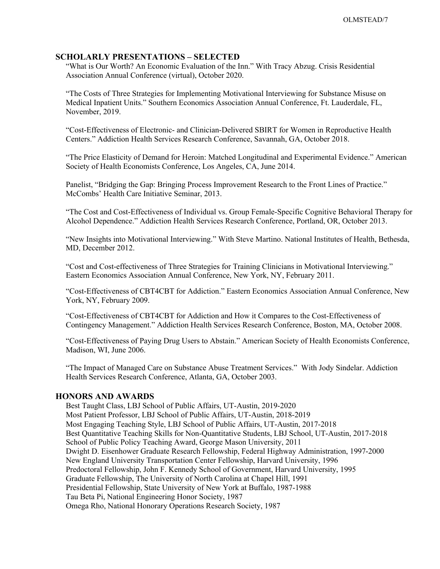### **SCHOLARLY PRESENTATIONS – SELECTED**

"What is Our Worth? An Economic Evaluation of the Inn." With Tracy Abzug. Crisis Residential Association Annual Conference (virtual), October 2020.

"The Costs of Three Strategies for Implementing Motivational Interviewing for Substance Misuse on Medical Inpatient Units." Southern Economics Association Annual Conference, Ft. Lauderdale, FL, November, 2019.

"Cost-Effectiveness of Electronic- and Clinician-Delivered SBIRT for Women in Reproductive Health Centers." Addiction Health Services Research Conference, Savannah, GA, October 2018.

"The Price Elasticity of Demand for Heroin: Matched Longitudinal and Experimental Evidence." American Society of Health Economists Conference, Los Angeles, CA, June 2014.

Panelist, "Bridging the Gap: Bringing Process Improvement Research to the Front Lines of Practice." McCombs' Health Care Initiative Seminar, 2013.

"The Cost and Cost-Effectiveness of Individual vs. Group Female-Specific Cognitive Behavioral Therapy for Alcohol Dependence." Addiction Health Services Research Conference, Portland, OR, October 2013.

"New Insights into Motivational Interviewing." With Steve Martino. National Institutes of Health, Bethesda, MD, December 2012.

"Cost and Cost-effectiveness of Three Strategies for Training Clinicians in Motivational Interviewing." Eastern Economics Association Annual Conference, New York, NY, February 2011.

"Cost-Effectiveness of CBT4CBT for Addiction." Eastern Economics Association Annual Conference, New York, NY, February 2009.

"Cost-Effectiveness of CBT4CBT for Addiction and How it Compares to the Cost-Effectiveness of Contingency Management." Addiction Health Services Research Conference, Boston, MA, October 2008.

"Cost-Effectiveness of Paying Drug Users to Abstain." American Society of Health Economists Conference, Madison, WI, June 2006.

"The Impact of Managed Care on Substance Abuse Treatment Services." With Jody Sindelar. Addiction Health Services Research Conference, Atlanta, GA, October 2003.

### **HONORS AND AWARDS**

Best Taught Class, LBJ School of Public Affairs, UT-Austin, 2019-2020 Most Patient Professor, LBJ School of Public Affairs, UT-Austin, 2018-2019 Most Engaging Teaching Style, LBJ School of Public Affairs, UT-Austin, 2017-2018 Best Quantitative Teaching Skills for Non-Quantitative Students, LBJ School, UT-Austin, 2017-2018 School of Public Policy Teaching Award, George Mason University, 2011 Dwight D. Eisenhower Graduate Research Fellowship, Federal Highway Administration, 1997-2000 New England University Transportation Center Fellowship, Harvard University, 1996 Predoctoral Fellowship, John F. Kennedy School of Government, Harvard University, 1995 Graduate Fellowship, The University of North Carolina at Chapel Hill, 1991 Presidential Fellowship, State University of New York at Buffalo, 1987-1988 Tau Beta Pi, National Engineering Honor Society, 1987 Omega Rho, National Honorary Operations Research Society, 1987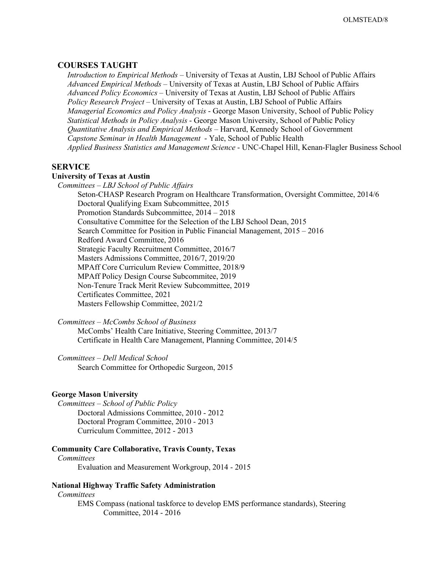## **COURSES TAUGHT**

 *Introduction to Empirical Methods –* University of Texas at Austin, LBJ School of Public Affairs  *Advanced Empirical Methods* – University of Texas at Austin, LBJ School of Public Affairs *Advanced Policy Economics –* University of Texas at Austin, LBJ School of Public Affairs  *Policy Research Project* – University of Texas at Austin, LBJ School of Public Affairs  *Managerial Economics and Policy Analysis* - George Mason University, School of Public Policy  *Statistical Methods in Policy Analysis* - George Mason University, School of Public Policy  *Quantitative Analysis and Empirical Methods* – Harvard, Kennedy School of Government  *Capstone Seminar in Health Management* - Yale, School of Public Health  *Applied Business Statistics and Management Science* - UNC-Chapel Hill, Kenan-Flagler Business School

## **SERVICE**

### **University of Texas at Austin**

 *Committees – LBJ School of Public Affairs* Seton-CHASP Research Program on Healthcare Transformation, Oversight Committee, 2014/6 Doctoral Qualifying Exam Subcommittee, 2015 Promotion Standards Subcommittee, 2014 – 2018 Consultative Committee for the Selection of the LBJ School Dean, 2015 Search Committee for Position in Public Financial Management, 2015 – 2016 Redford Award Committee, 2016 Strategic Faculty Recruitment Committee, 2016/7 Masters Admissions Committee, 2016/7, 2019/20 MPAff Core Curriculum Review Committee, 2018/9 MPAff Policy Design Course Subcommitee, 2019 Non-Tenure Track Merit Review Subcommittee, 2019 Certificates Committee, 2021 Masters Fellowship Committee, 2021/2

 *Committees – McCombs School of Business*

McCombs' Health Care Initiative, Steering Committee, 2013/7 Certificate in Health Care Management, Planning Committee, 2014/5

 *Committees – Dell Medical School*

Search Committee for Orthopedic Surgeon, 2015

### **George Mason University**

 *Committees – School of Public Policy* Doctoral Admissions Committee, 2010 - 2012 Doctoral Program Committee, 2010 - 2013 Curriculum Committee, 2012 - 2013

#### **Community Care Collaborative, Travis County, Texas**

 *Committees*  Evaluation and Measurement Workgroup, 2014 - 2015

### **National Highway Traffic Safety Administration**

*Committees*

EMS Compass (national taskforce to develop EMS performance standards), Steering Committee, 2014 - 2016